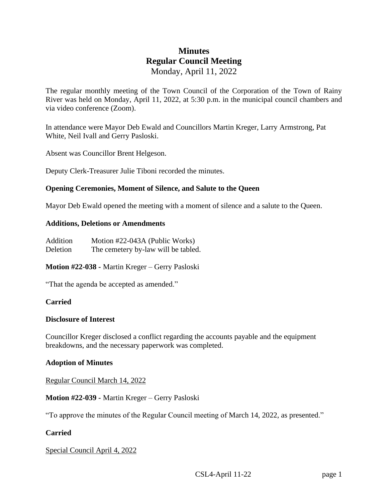# **Minutes Regular Council Meeting** Monday, April 11, 2022

The regular monthly meeting of the Town Council of the Corporation of the Town of Rainy River was held on Monday, April 11, 2022, at 5:30 p.m. in the municipal council chambers and via video conference (Zoom).

In attendance were Mayor Deb Ewald and Councillors Martin Kreger, Larry Armstrong, Pat White, Neil Ivall and Gerry Pasloski.

Absent was Councillor Brent Helgeson.

Deputy Clerk-Treasurer Julie Tiboni recorded the minutes.

### **Opening Ceremonies, Moment of Silence, and Salute to the Queen**

Mayor Deb Ewald opened the meeting with a moment of silence and a salute to the Queen.

#### **Additions, Deletions or Amendments**

| Addition | Motion #22-043A (Public Works)      |
|----------|-------------------------------------|
| Deletion | The cemetery by-law will be tabled. |

### **Motion #22-038 -** Martin Kreger – Gerry Pasloski

"That the agenda be accepted as amended."

### **Carried**

#### **Disclosure of Interest**

Councillor Kreger disclosed a conflict regarding the accounts payable and the equipment breakdowns, and the necessary paperwork was completed.

#### **Adoption of Minutes**

Regular Council March 14, 2022

### **Motion #22-039 -** Martin Kreger – Gerry Pasloski

"To approve the minutes of the Regular Council meeting of March 14, 2022, as presented."

### **Carried**

Special Council April 4, 2022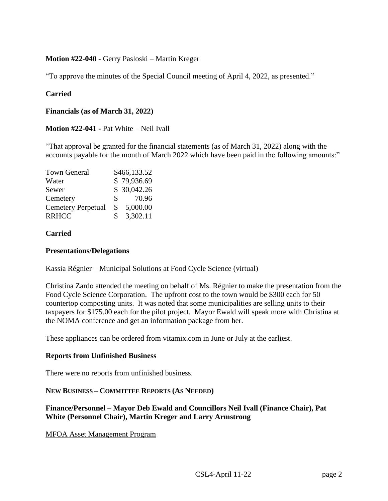### **Motion #22-040 -** Gerry Pasloski – Martin Kreger

"To approve the minutes of the Special Council meeting of April 4, 2022, as presented."

### **Carried**

**Financials (as of March 31, 2022)**

**Motion #22-041 -** Pat White – Neil Ivall

"That approval be granted for the financial statements (as of March 31, 2022) along with the accounts payable for the month of March 2022 which have been paid in the following amounts:"

| <b>Town General</b>       | \$466,133.52 |             |
|---------------------------|--------------|-------------|
| Water                     |              | \$79,936.69 |
| Sewer                     |              | \$30,042.26 |
| Cemetery                  | S.           | 70.96       |
| <b>Cemetery Perpetual</b> | \$           | 5,000.00    |
| <b>RRHCC</b>              | \$.          | 3,302.11    |

#### **Carried**

#### **Presentations/Delegations**

#### Kassia Régnier – Municipal Solutions at Food Cycle Science (virtual)

Christina Zardo attended the meeting on behalf of Ms. Régnier to make the presentation from the Food Cycle Science Corporation. The upfront cost to the town would be \$300 each for 50 countertop composting units. It was noted that some municipalities are selling units to their taxpayers for \$175.00 each for the pilot project. Mayor Ewald will speak more with Christina at the NOMA conference and get an information package from her.

These appliances can be ordered from vitamix.com in June or July at the earliest.

#### **Reports from Unfinished Business**

There were no reports from unfinished business.

#### **NEW BUSINESS – COMMITTEE REPORTS (AS NEEDED)**

**Finance/Personnel – Mayor Deb Ewald and Councillors Neil Ivall (Finance Chair), Pat White (Personnel Chair), Martin Kreger and Larry Armstrong**

MFOA Asset Management Program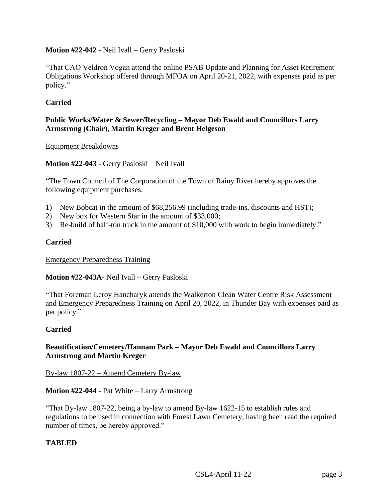## **Motion #22-042 -** Neil Ivall – Gerry Pasloski

"That CAO Veldron Vogan attend the online PSAB Update and Planning for Asset Retirement Obligations Workshop offered through MFOA on April 20-21, 2022, with expenses paid as per policy."

# **Carried**

# **Public Works/Water & Sewer/Recycling – Mayor Deb Ewald and Councillors Larry Armstrong (Chair), Martin Kreger and Brent Helgeson**

#### Equipment Breakdowns

**Motion #22-043 -** Gerry Pasloski – Neil Ivall

"The Town Council of The Corporation of the Town of Rainy River hereby approves the following equipment purchases:

- 1) New Bobcat in the amount of \$68,256.99 (including trade-ins, discounts and HST);
- 2) New box for Western Star in the amount of \$33,000;
- 3) Re-build of half-ton truck in the amount of \$10,000 with work to begin immediately."

### **Carried**

Emergency Preparedness Training

**Motion #22-043A-** Neil Ivall – Gerry Pasloski

"That Foreman Leroy Hancharyk attends the Walkerton Clean Water Centre Risk Assessment and Emergency Preparedness Training on April 20, 2022, in Thunder Bay with expenses paid as per policy."

### **Carried**

#### **Beautification/Cemetery/Hannam Park – Mayor Deb Ewald and Councillors Larry Armstrong and Martin Kreger**

By-law 1807-22 – Amend Cemetery By-law

**Motion #22-044 -** Pat White – Larry Armstrong

"That By-law 1807-22, being a by-law to amend By-law 1622-15 to establish rules and regulations to be used in connection with Forest Lawn Cemetery, having been read the required number of times, be hereby approved."

### **TABLED**